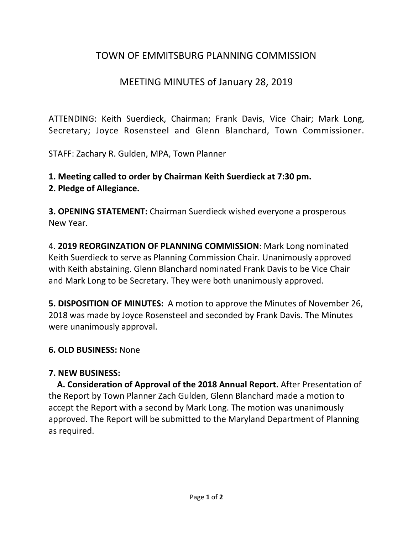# TOWN OF EMMITSBURG PLANNING COMMISSION

# MEETING MINUTES of January 28, 2019

ATTENDING: Keith Suerdieck, Chairman; Frank Davis, Vice Chair; Mark Long, Secretary; Joyce Rosensteel and Glenn Blanchard, Town Commissioner.

STAFF: Zachary R. Gulden, MPA, Town Planner

**1. Meeting called to order by Chairman Keith Suerdieck at 7:30 pm.** 

#### **2. Pledge of Allegiance.**

**3. OPENING STATEMENT:** Chairman Suerdieck wished everyone a prosperous New Year.

4. **2019 REORGINZATION OF PLANNING COMMISSION**: Mark Long nominated Keith Suerdieck to serve as Planning Commission Chair. Unanimously approved with Keith abstaining. Glenn Blanchard nominated Frank Davis to be Vice Chair and Mark Long to be Secretary. They were both unanimously approved.

**5. DISPOSITION OF MINUTES:** A motion to approve the Minutes of November 26, 2018 was made by Joyce Rosensteel and seconded by Frank Davis. The Minutes were unanimously approval.

### **6. OLD BUSINESS:** None

#### **7. NEW BUSINESS:**

 **A. Consideration of Approval of the 2018 Annual Report.** After Presentation of the Report by Town Planner Zach Gulden, Glenn Blanchard made a motion to accept the Report with a second by Mark Long. The motion was unanimously approved. The Report will be submitted to the Maryland Department of Planning as required.